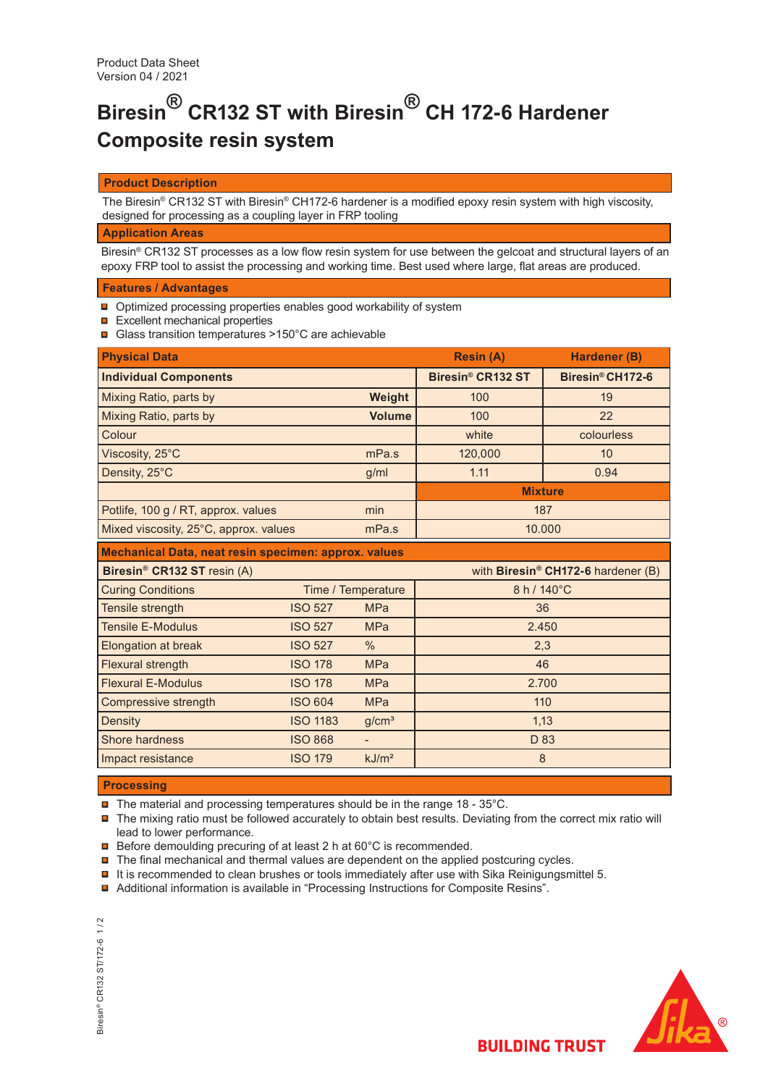# **Biresin® CR132 ST with Biresin® CH 172-6 Hardener Composite resin system**

# **Product Description**

The Biresin® CR132 ST with Biresin® CH172-6 hardener is a modified epoxy resin system with high viscosity, designed for processing as a coupling layer in FRP tooling

## **Application Areas**

Biresin® CR132 ST processes as a low flow resin system for use between the gelcoat and structural layers of an epoxy FRP tool to assist the processing and working time. Best used where large, flat areas are produced.

# **Features / Advantages**

- **□** Optimized processing properties enables good workability of system
- $\Box$  Excellent mechanical properties
- Glass transition temperatures >150°C are achievable

| <b>Physical Data</b>                                 |                 |                    | <b>Resin (A)</b>  | Hardener (B)                                   |  |  |
|------------------------------------------------------|-----------------|--------------------|-------------------|------------------------------------------------|--|--|
| <b>Individual Components</b>                         |                 |                    | Biresin® CR132 ST | Biresin® CH172-6                               |  |  |
| Mixing Ratio, parts by                               |                 | Weight             | 100               | 19                                             |  |  |
| Mixing Ratio, parts by                               |                 | <b>Volume</b>      | 100               | 22                                             |  |  |
| Colour                                               |                 |                    | white             | colourless                                     |  |  |
| Viscosity, 25°C                                      |                 | mPa.s              | 120,000           | 10                                             |  |  |
| Density, 25°C                                        |                 | g/ml               | 1.11              | 0.94                                           |  |  |
|                                                      |                 |                    | <b>Mixture</b>    |                                                |  |  |
| Potlife, 100 g / RT, approx. values                  |                 | min                | 187               |                                                |  |  |
| Mixed viscosity, 25°C, approx. values                |                 | mPa.s              | 10.000            |                                                |  |  |
| Mechanical Data, neat resin specimen: approx. values |                 |                    |                   |                                                |  |  |
| Biresin <sup>®</sup> CR132 ST resin (A)              |                 |                    |                   | with Biresin <sup>®</sup> CH172-6 hardener (B) |  |  |
| <b>Curing Conditions</b>                             |                 | Time / Temperature | 8 h / 140°C       |                                                |  |  |
| Tensile strength                                     | <b>ISO 527</b>  | <b>MPa</b>         | 36                |                                                |  |  |
| <b>Tensile E-Modulus</b>                             | <b>ISO 527</b>  | <b>MPa</b>         | 2.450             |                                                |  |  |
| Elongation at break                                  | <b>ISO 527</b>  | $\frac{0}{0}$      | 2,3               |                                                |  |  |
| Flexural strength                                    | <b>ISO 178</b>  | <b>MPa</b>         | 46                |                                                |  |  |
| <b>Flexural E-Modulus</b>                            | <b>ISO 178</b>  | <b>MPa</b>         | 2.700             |                                                |  |  |
| Compressive strength                                 | <b>ISO 604</b>  | <b>MPa</b>         | 110               |                                                |  |  |
| Density                                              | <b>ISO 1183</b> | g/cm <sup>3</sup>  | 1,13              |                                                |  |  |
| Shore hardness                                       | <b>ISO 868</b>  | ÷.                 | D 83              |                                                |  |  |
| Impact resistance                                    | <b>ISO 179</b>  | kJ/m <sup>2</sup>  | 8                 |                                                |  |  |

## **Processing**

- $\blacksquare$  The material and processing temperatures should be in the range 18 35°C.
- The mixing ratio must be followed accurately to obtain best results. Deviating from the correct mix ratio will lead to lower performance.
- **□** Before demoulding precuring of at least 2 h at 60°C is recommended.
- $\blacksquare$  The final mechanical and thermal values are dependent on the applied postcuring cycles.
- $\blacksquare$  It is recommended to clean brushes or tools immediately after use with Sika Reinigungsmittel 5.
- Additional information is available in "Processing Instructions for Composite Resins".